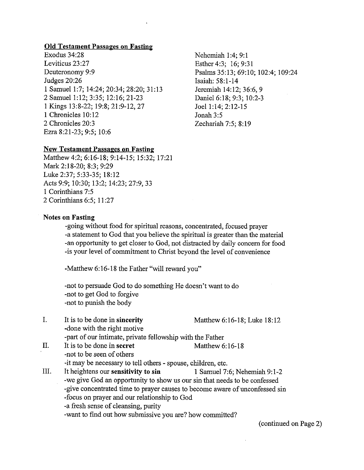### Old Testament Passages on Fasting

Exodus 34:28 Leviticus 23:27 Deuteronomy 9:9 Judges 20:26 <sup>1</sup> Samuel 1:7; 14:24; 20:34; 28:20; 31:13 2 Samuel 1:12; 3:35; 12:16; 21-23 I Kings 13:8-22; 19:8; 21:9-12,27 <sup>1</sup> Chronicles 10:12 2 Chronicles 20:3 Ezra 8:21-23; 9:5; 10:6

Nehemiah 1:4; 9:1 Esther 4:3; 16; 9:31 Psalms 35:13; 69:10; 102:4; 109:24 Isaiah: 58:1-14 Jeremiah 14:12; 36:6, 9 Daniel 6:18; 9:3; 10:2-3 Joel 1:14; 2:12-15 Jonah 3:5 Zechariah 7:5; 8:19

### New Testament Passages on Fasting

Matthew 4:2; 6:16-18; 9:14-15; 15:32; 17:21 Mark 2:18-20; 8:3; 9:29 Luke 2:37; 5:33-35; 18:12 Acts 9:9; 10:30; 13:2; 14:23; 27:9,33 I Corinthians 7:5 2 Corinthians 6:5; 11:27

#### Notes on Fasting

-going without food for spiritual reasons, concentrated, focused prayer -a statement to God that you believe the spiritual is greater than the material -an opportunity to get closer to God, not distracted by daily concern for food -is your level of commitment to Christ beyond the level of convenience

-Matthew 6:16-18 the Father "will reward you"

-not to persuade God to do something He doesn't want to do -not to get God to forgive -not to punish the body

- I. It is to be done in sincerity Matthew 6:16-18; Luke 18:12 -done with the right motive -part of our intimate, private fellowship with the Father
- II. It is to be done in secret Matthew 6:16-18 -not to be seen of others -it may be necessary to tell others - spouse, children, etc. III. It heightens our sensitivity to sin 1 Samuel 7:6; Nehemiah 9:1-2
	- -we give God an opportunity to show us our sin that needs to be confessed -give concentrated time to prayer causes to become aware of unconfessed sin -focus on prayer and our relationship to God
		- -a fresh sense of cleansing, purity
		- -want to find out how submissive you are? how committed?

(continued on Page 2)